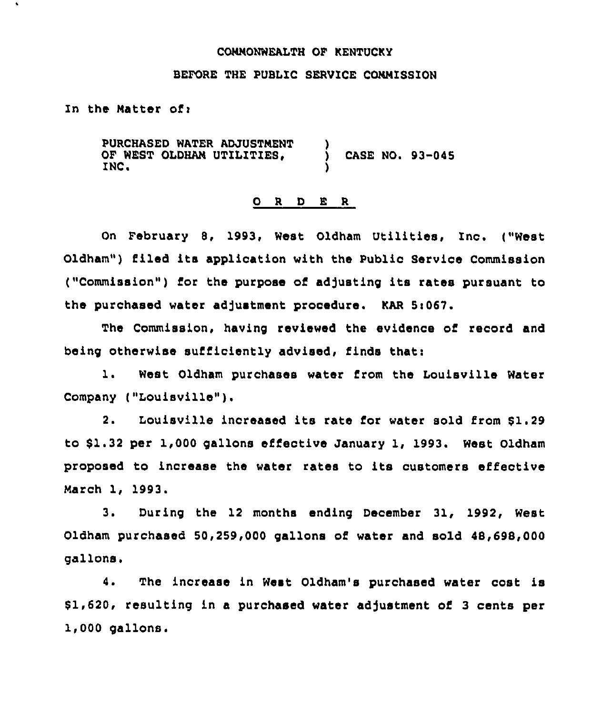### COMMONWEALTH OP KENTUCKY

## BEFORE THE PUBLIC SERVICE COMMISSION

In the Matter of:

PURCHASED WATER ADJUSTMENT ) OF WEST OLDHAM UTILITIES,  $\bigcup_{i=1}^{n}$  Case No. 93-045 INC.

## 0 <sup>R</sup> <sup>D</sup> E <sup>R</sup>

On February 8, 1993, West Oldham Utilities, Inc. ("West Oldham") filed its application with the Public Service Commission ("Commission") for the purpose of adjusting its rates pursuant to the purchased water adjustment procedure. KAR 5:067.

The Commission, having reviewed the evidence of record and being otherwise sufficiently advised, finds that:

1. West Oldham purchases water from the Louisville Water Company ("Louisville" ).

2. Louisville increased its rate for water sold from \$1.29 to \$1.32 per 1,000 gallons effective January 1, 1993. West Oldham proposed to increase the water rates to its customers effective March 1, 1993.

3. During the 12 months ending December 31, 1992, West Oldham purchased 50,259,000 gallons of water and sold 48,698,000 gallons.

4. The increase in West Oldham's purchased water cost is \$ 1,620, resulting in a purchased water adjustment of 3 cents per 1,000 gallons.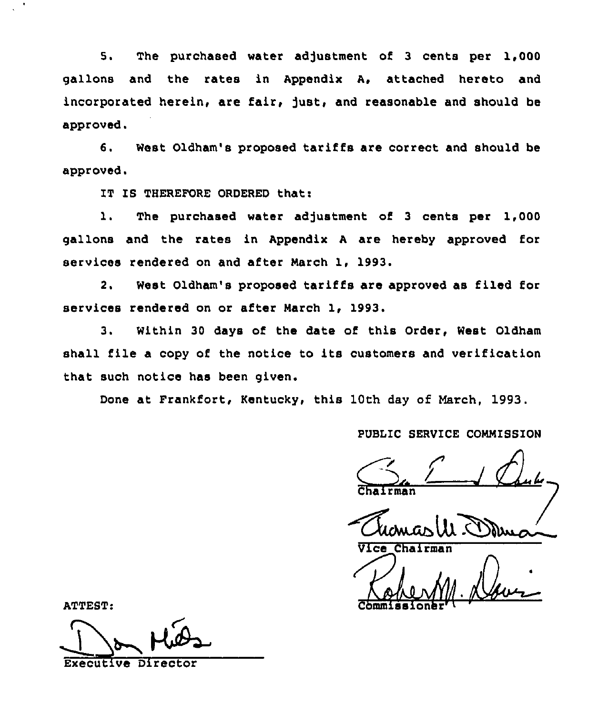5. The purchased water adjustment of 3 cents per 1,000 gallons and the rates in Appendix A, attached hereto and incorporated herein, are fair, just, and reasonable and should be approved.

6. West Oldham's proposed tariffs are correct and should be approved.

IT IS THEREFORE ORDERED that:

1. The purchased water adjustment of 3 cents per 1,000 gallons and the rates in Appendix <sup>A</sup> are hereby approved for services rendered on and after March 1, 1993.

2. West Oldham's proposed tariffs are approved as filed for services rendered on or after March 1, 1993.

3. Within 30 days of the date of this Order, West Oldham shall file <sup>a</sup> copy of the notice to its customers and verification that such notice has been given.

Done at Frankfort, Kentucky, this 10th day of March, 1993.

PUBLIC SERVICE COMMISSION<br>Chairman Chairman

Thomas M. Dom

ATTEST: Commissionary

Executive Director